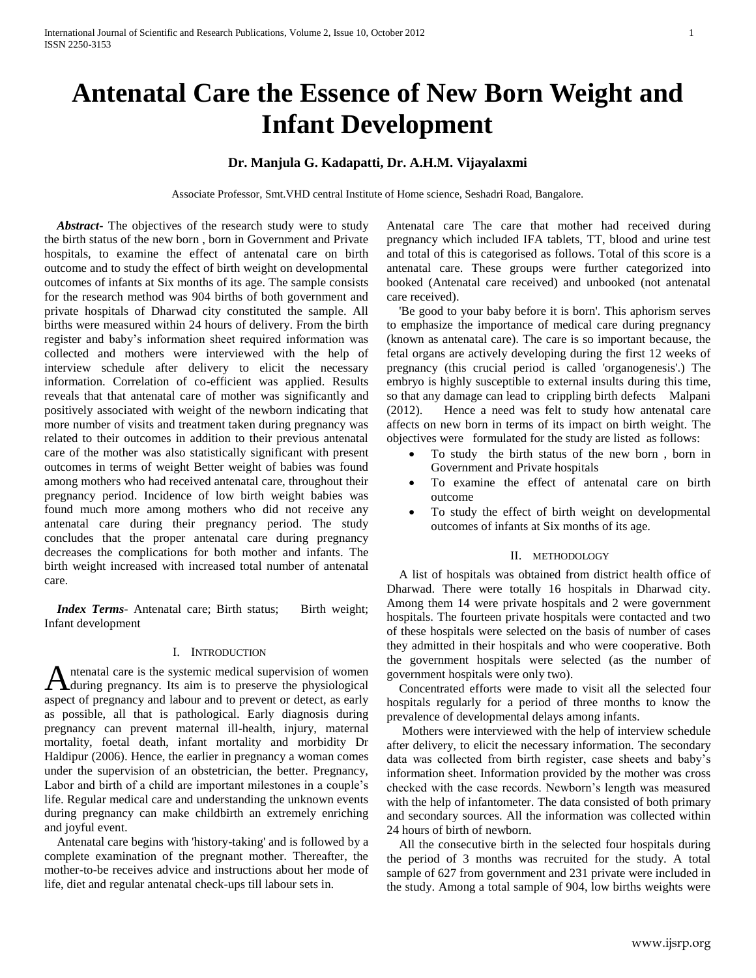# **Antenatal Care the Essence of New Born Weight and Infant Development**

## **Dr. Manjula G. Kadapatti, Dr. A.H.M. Vijayalaxmi**

Associate Professor, Smt.VHD central Institute of Home science, Seshadri Road, Bangalore.

 *Abstract***-** The objectives of the research study were to study the birth status of the new born , born in Government and Private hospitals, to examine the effect of antenatal care on birth outcome and to study the effect of birth weight on developmental outcomes of infants at Six months of its age. The sample consists for the research method was 904 births of both government and private hospitals of Dharwad city constituted the sample. All births were measured within 24 hours of delivery. From the birth register and baby's information sheet required information was collected and mothers were interviewed with the help of interview schedule after delivery to elicit the necessary information. Correlation of co-efficient was applied. Results reveals that that antenatal care of mother was significantly and positively associated with weight of the newborn indicating that more number of visits and treatment taken during pregnancy was related to their outcomes in addition to their previous antenatal care of the mother was also statistically significant with present outcomes in terms of weight Better weight of babies was found among mothers who had received antenatal care, throughout their pregnancy period. Incidence of low birth weight babies was found much more among mothers who did not receive any antenatal care during their pregnancy period. The study concludes that the proper antenatal care during pregnancy decreases the complications for both mother and infants. The birth weight increased with increased total number of antenatal care.

*Index Terms*- Antenatal care; Birth status; Birth weight; Infant development

## I. INTRODUCTION

ntenatal care is the systemic medical supervision of women during pregnancy. Its aim is to preserve the physiological A ntenatal care is the systemic medical supervision of women<br>during pregnancy. Its aim is to preserve the physiological<br>aspect of pregnancy and labour and to prevent or detect, as early as possible, all that is pathological. Early diagnosis during pregnancy can prevent maternal ill-health, injury, maternal mortality, foetal death, infant mortality and morbidity Dr Haldipur (2006). Hence, the earlier in pregnancy a woman comes under the supervision of an obstetrician, the better. Pregnancy, Labor and birth of a child are important milestones in a couple's life. Regular medical care and understanding the unknown events during pregnancy can make childbirth an extremely enriching and joyful event.

 Antenatal care begins with 'history-taking' and is followed by a complete examination of the pregnant mother. Thereafter, the mother-to-be receives advice and instructions about her mode of life, diet and regular antenatal check-ups till labour sets in.

Antenatal care The care that mother had received during pregnancy which included IFA tablets, TT, blood and urine test and total of this is categorised as follows. Total of this score is a antenatal care. These groups were further categorized into booked (Antenatal care received) and unbooked (not antenatal care received).

 'Be good to your baby before it is born'. This aphorism serves to emphasize the importance of medical care during pregnancy (known as antenatal care). The care is so important because, the fetal organs are actively developing during the first 12 weeks of pregnancy (this crucial period is called 'organogenesis'.) The embryo is highly susceptible to external insults during this time, so that any damage can lead to crippling birth defects Malpani (2012). Hence a need was felt to study how antenatal care affects on new born in terms of its impact on birth weight. The objectives were formulated for the study are listed as follows:

- To study the birth status of the new born , born in Government and Private hospitals
- To examine the effect of antenatal care on birth outcome
- To study the effect of birth weight on developmental outcomes of infants at Six months of its age.

## II. METHODOLOGY

 A list of hospitals was obtained from district health office of Dharwad. There were totally 16 hospitals in Dharwad city. Among them 14 were private hospitals and 2 were government hospitals. The fourteen private hospitals were contacted and two of these hospitals were selected on the basis of number of cases they admitted in their hospitals and who were cooperative. Both the government hospitals were selected (as the number of government hospitals were only two).

 Concentrated efforts were made to visit all the selected four hospitals regularly for a period of three months to know the prevalence of developmental delays among infants.

 Mothers were interviewed with the help of interview schedule after delivery, to elicit the necessary information. The secondary data was collected from birth register, case sheets and baby's information sheet. Information provided by the mother was cross checked with the case records. Newborn's length was measured with the help of infantometer. The data consisted of both primary and secondary sources. All the information was collected within 24 hours of birth of newborn.

 All the consecutive birth in the selected four hospitals during the period of 3 months was recruited for the study. A total sample of 627 from government and 231 private were included in the study. Among a total sample of 904, low births weights were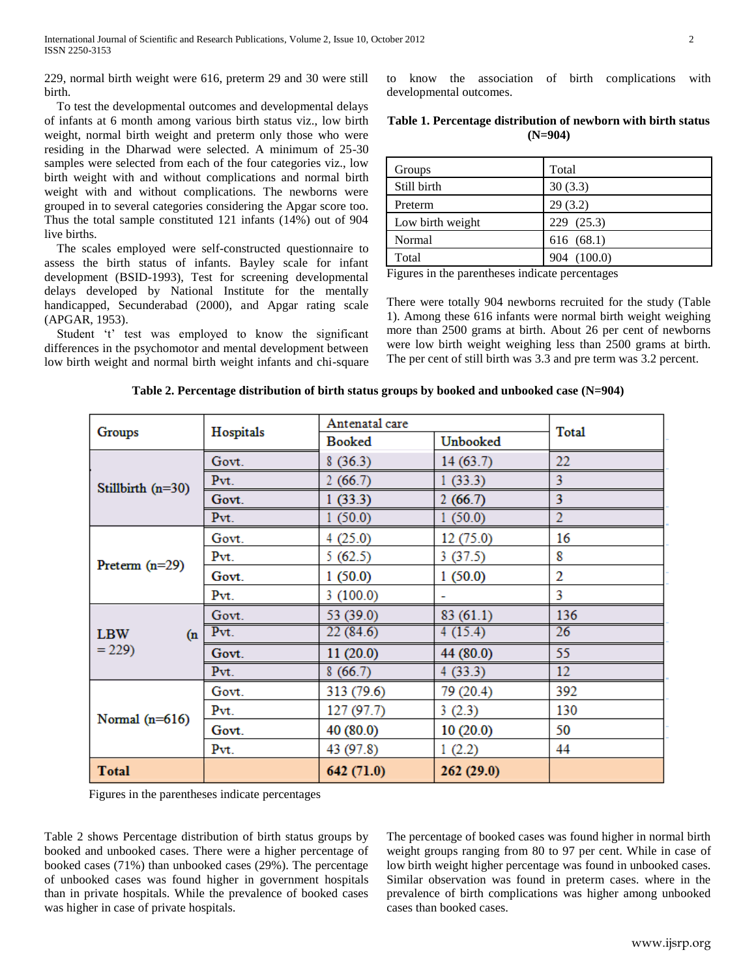229, normal birth weight were 616, preterm 29 and 30 were still birth.

 To test the developmental outcomes and developmental delays of infants at 6 month among various birth status viz., low birth weight, normal birth weight and preterm only those who were residing in the Dharwad were selected. A minimum of 25-30 samples were selected from each of the four categories viz., low birth weight with and without complications and normal birth weight with and without complications. The newborns were grouped in to several categories considering the Apgar score too. Thus the total sample constituted 121 infants (14%) out of 904 live births.

 The scales employed were self-constructed questionnaire to assess the birth status of infants. Bayley scale for infant development (BSID-1993), Test for screening developmental delays developed by National Institute for the mentally handicapped, Secunderabad (2000), and Apgar rating scale (APGAR, 1953).

 Student 't' test was employed to know the significant differences in the psychomotor and mental development between low birth weight and normal birth weight infants and chi-square to know the association of birth complications with developmental outcomes.

| Table 1. Percentage distribution of newborn with birth status |  |  |
|---------------------------------------------------------------|--|--|
| $(N=904)$                                                     |  |  |

| Groups           | Total       |
|------------------|-------------|
| Still birth      | 30(3.3)     |
| Preterm          | 29(3.2)     |
| Low birth weight | 229 (25.3)  |
| Normal           | 616 (68.1)  |
| Total            | 904 (100.0) |

Figures in the parentheses indicate percentages

There were totally 904 newborns recruited for the study (Table 1). Among these 616 infants were normal birth weight weighing more than 2500 grams at birth. About 26 per cent of newborns were low birth weight weighing less than 2500 grams at birth. The per cent of still birth was 3.3 and pre term was 3.2 percent.

| <b>Groups</b>                | Hospitals | Antenatal care |           |                |
|------------------------------|-----------|----------------|-----------|----------------|
|                              |           | <b>Booked</b>  | Unbooked  | <b>Total</b>   |
| Stillbirth $(n=30)$          | Govt.     | 8(36.3)        | 14(63.7)  | 22             |
|                              | Pvt.      | 2(66.7)        | 1(33.3)   | 3              |
|                              | Govt.     | 1(33.3)        | 2(66.7)   | 3              |
|                              | Pvt.      | 1(50.0)        | 1(50.0)   | $\overline{2}$ |
| Preterm $(n=29)$             | Govt.     | 4(25.0)        | 12 (75.0) | 16             |
|                              | Pvt.      | 5(62.5)        | 3(37.5)   | 8              |
|                              | Govt.     | 1(50.0)        | 1(50.0)   | 2              |
|                              | Pvt.      | 3(100.0)       |           | 3              |
| <b>LBW</b><br>(n)<br>$= 229$ | Govt.     | 53 (39.0)      | 83(61.1)  | 136            |
|                              | Pvt.      | 22(84.6)       | 4(15.4)   | 26             |
|                              | Govt.     | 11(20.0)       | 44 (80.0) | 55             |
|                              | Pvt.      | 8(66.7)        | 4(33.3)   | 12             |
| Normal $(n=616)$             | Govt.     | 313 (79.6)     | 79 (20.4) | 392            |
|                              | Pvt.      | 127 (97.7)     | 3(2.3)    | 130            |
|                              | Govt.     | 40 (80.0)      | 10(20.0)  | 50             |
|                              | Pvt.      | 43 (97.8)      | 1(2.2)    | 44             |
| <b>Total</b>                 |           | 642 (71.0)     | 262(29.0) |                |

**Table 2. Percentage distribution of birth status groups by booked and unbooked case (N=904)**

Figures in the parentheses indicate percentages

Table 2 shows Percentage distribution of birth status groups by booked and unbooked cases. There were a higher percentage of booked cases (71%) than unbooked cases (29%). The percentage of unbooked cases was found higher in government hospitals than in private hospitals. While the prevalence of booked cases was higher in case of private hospitals.

The percentage of booked cases was found higher in normal birth weight groups ranging from 80 to 97 per cent. While in case of low birth weight higher percentage was found in unbooked cases. Similar observation was found in preterm cases. where in the prevalence of birth complications was higher among unbooked cases than booked cases.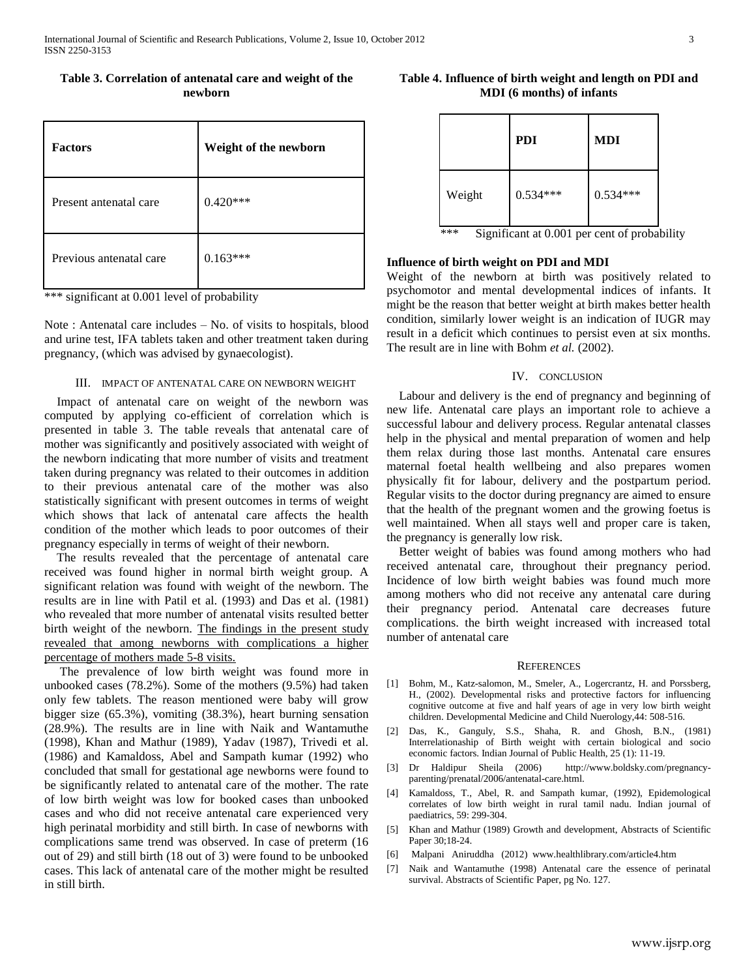| Table 3. Correlation of antenatal care and weight of the |         |  |
|----------------------------------------------------------|---------|--|
|                                                          | newborn |  |

| <b>Factors</b>          | Weight of the newborn |
|-------------------------|-----------------------|
| Present antenatal care  | **<br>0.429           |
| Previous antenatal care | ***<br>0.163          |

\*\*\* significant at 0.001 level of probability

Note : Antenatal care includes – No. of visits to hospitals, blood and urine test, IFA tablets taken and other treatment taken during pregnancy, (which was advised by gynaecologist).

#### III. IMPACT OF ANTENATAL CARE ON NEWBORN WEIGHT

 Impact of antenatal care on weight of the newborn was computed by applying co-efficient of correlation which is presented in table 3. The table reveals that antenatal care of mother was significantly and positively associated with weight of the newborn indicating that more number of visits and treatment taken during pregnancy was related to their outcomes in addition to their previous antenatal care of the mother was also statistically significant with present outcomes in terms of weight which shows that lack of antenatal care affects the health condition of the mother which leads to poor outcomes of their pregnancy especially in terms of weight of their newborn.

 The results revealed that the percentage of antenatal care received was found higher in normal birth weight group. A significant relation was found with weight of the newborn. The results are in line with Patil et al. (1993) and Das et al. (1981) who revealed that more number of antenatal visits resulted better birth weight of the newborn. The findings in the present study revealed that among newborns with complications a higher percentage of mothers made 5-8 visits.

 The prevalence of low birth weight was found more in unbooked cases (78.2%). Some of the mothers (9.5%) had taken only few tablets. The reason mentioned were baby will grow bigger size (65.3%), vomiting (38.3%), heart burning sensation (28.9%). The results are in line with Naik and Wantamuthe (1998), Khan and Mathur (1989), Yadav (1987), Trivedi et al. (1986) and Kamaldoss, Abel and Sampath kumar (1992) who concluded that small for gestational age newborns were found to be significantly related to antenatal care of the mother. The rate of low birth weight was low for booked cases than unbooked cases and who did not receive antenatal care experienced very high perinatal morbidity and still birth. In case of newborns with complications same trend was observed. In case of preterm (16 out of 29) and still birth (18 out of 3) were found to be unbooked cases. This lack of antenatal care of the mother might be resulted in still birth.

## **Table 4. Influence of birth weight and length on PDI and MDI (6 months) of infants**

|        | <b>PDI</b>                                   | <b>MDI</b> |  |
|--------|----------------------------------------------|------------|--|
| Weight | $0.534***$                                   | $0.534***$ |  |
| ***    | Significant at 0.001 per cent of probability |            |  |

## **Influence of birth weight on PDI and MDI**

Weight of the newborn at birth was positively related to psychomotor and mental developmental indices of infants. It might be the reason that better weight at birth makes better health condition, similarly lower weight is an indication of IUGR may result in a deficit which continues to persist even at six months. The result are in line with Bohm *et al.* (2002).

## IV. CONCLUSION

 Labour and delivery is the end of pregnancy and beginning of new life. Antenatal care plays an important role to achieve a successful labour and delivery process. Regular antenatal classes help in the physical and mental preparation of women and help them relax during those last months. Antenatal care ensures maternal foetal health wellbeing and also prepares women physically fit for labour, delivery and the postpartum period. Regular visits to the doctor during pregnancy are aimed to ensure that the health of the pregnant women and the growing foetus is well maintained. When all stays well and proper care is taken, the pregnancy is generally low risk.

 Better weight of babies was found among mothers who had received antenatal care, throughout their pregnancy period. Incidence of low birth weight babies was found much more among mothers who did not receive any antenatal care during their pregnancy period. Antenatal care decreases future complications. the birth weight increased with increased total number of antenatal care

#### REFERENCES

- [1] Bohm, M., Katz-salomon, M., Smeler, A., Logercrantz, H. and Porssberg, H., (2002). Developmental risks and protective factors for influencing cognitive outcome at five and half years of age in very low birth weight children. Developmental Medicine and Child Nuerology,44: 508-516.
- [2] Das, K., Ganguly, S.S., Shaha, R. and Ghosh, B.N., (1981) Interrelationaship of Birth weight with certain biological and socio economic factors. Indian Journal of Public Health, 25 (1): 11-19.
- [3] Dr Haldipur Sheila (2006) http://www.boldsky.com/pregnancyparenting/prenatal/2006/antenatal-care.html.
- [4] Kamaldoss, T., Abel, R. and Sampath kumar, (1992), Epidemological correlates of low birth weight in rural tamil nadu. Indian journal of paediatrics, 59: 299-304.
- [5] Khan and Mathur (1989) Growth and development, Abstracts of Scientific Paper 30;18-24.
- [6] Malpani Aniruddha (2012) www.healthlibrary.com/article4.htm
- [7] Naik and Wantamuthe (1998) Antenatal care the essence of perinatal survival. Abstracts of Scientific Paper, pg No. 127.